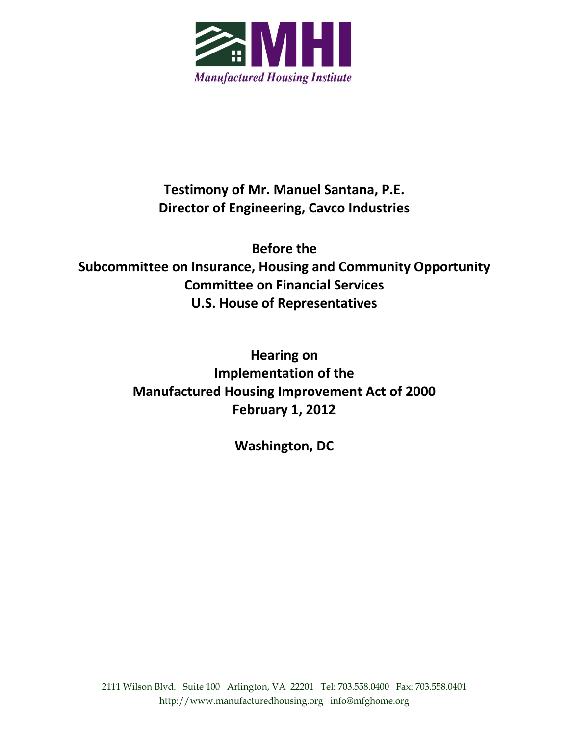

**Testimony of Mr. Manuel Santana, P.E. Director of Engineering, Cavco Industries**

**Before the Subcommittee on Insurance, Housing and Community Opportunity Committee on Financial Services U.S. House of Representatives**

> **Hearing on Implementation of the Manufactured Housing Improvement Act of 2000 February 1, 2012**

> > **Washington, DC**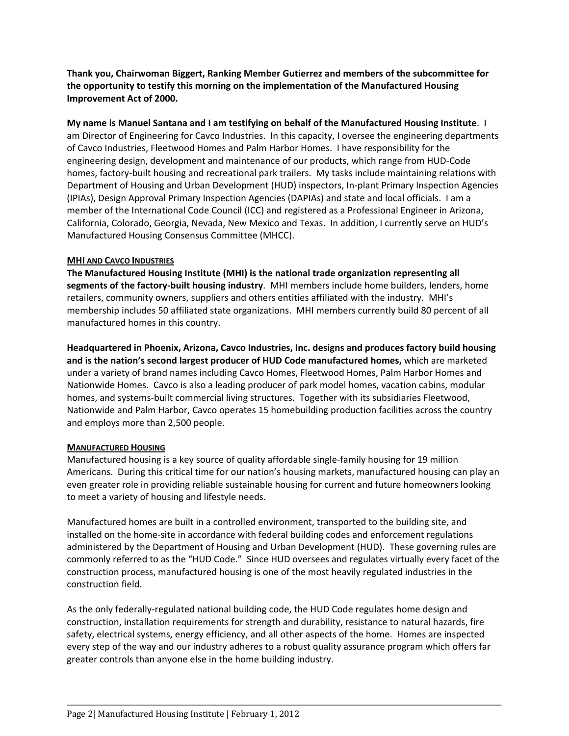**Thank you, Chairwoman Biggert, Ranking Member Gutierrez and members of the subcommittee for the opportunity to testify this morning on the implementation of the Manufactured Housing Improvement Act of 2000.**

**My name is Manuel Santana and I am testifying on behalf of the Manufactured Housing Institute**. I am Director of Engineering for Cavco Industries. In this capacity, I oversee the engineering departments of Cavco Industries, Fleetwood Homes and Palm Harbor Homes. I have responsibility for the engineering design, development and maintenance of our products, which range from HUD‐Code homes, factory-built housing and recreational park trailers. My tasks include maintaining relations with Department of Housing and Urban Development (HUD) inspectors, In‐plant Primary Inspection Agencies (IPIAs), Design Approval Primary Inspection Agencies (DAPIAs) and state and local officials. I am a member of the International Code Council (ICC) and registered as a Professional Engineer in Arizona, California, Colorado, Georgia, Nevada, New Mexico and Texas. In addition, I currently serve on HUD's Manufactured Housing Consensus Committee (MHCC).

#### **MHI AND CAVCO INDUSTRIES**

**The Manufactured Housing Institute (MHI) is the national trade organization representing all segments of the factory‐built housing industry**. MHI members include home builders, lenders, home retailers, community owners, suppliers and others entities affiliated with the industry. MHI's membership includes 50 affiliated state organizations. MHI members currently build 80 percent of all manufactured homes in this country.

**Headquartered in Phoenix, Arizona, Cavco Industries, Inc. designs and produces factory build housing and is the nation's second largest producer of HUD Code manufactured homes,** which are marketed under a variety of brand names including Cavco Homes, Fleetwood Homes, Palm Harbor Homes and Nationwide Homes. Cavco is also a leading producer of park model homes, vacation cabins, modular homes, and systems‐built commercial living structures. Together with its subsidiaries Fleetwood, Nationwide and Palm Harbor, Cavco operates 15 homebuilding production facilities across the country and employs more than 2,500 people.

#### **MANUFACTURED HOUSING**

Manufactured housing is a key source of quality affordable single-family housing for 19 million Americans. During this critical time for our nation's housing markets, manufactured housing can play an even greater role in providing reliable sustainable housing for current and future homeowners looking to meet a variety of housing and lifestyle needs.

Manufactured homes are built in a controlled environment, transported to the building site, and installed on the home‐site in accordance with federal building codes and enforcement regulations administered by the Department of Housing and Urban Development (HUD). These governing rules are commonly referred to as the "HUD Code." Since HUD oversees and regulates virtually every facet of the construction process, manufactured housing is one of the most heavily regulated industries in the construction field.

As the only federally‐regulated national building code, the HUD Code regulates home design and construction, installation requirements for strength and durability, resistance to natural hazards, fire safety, electrical systems, energy efficiency, and all other aspects of the home. Homes are inspected every step of the way and our industry adheres to a robust quality assurance program which offers far greater controls than anyone else in the home building industry.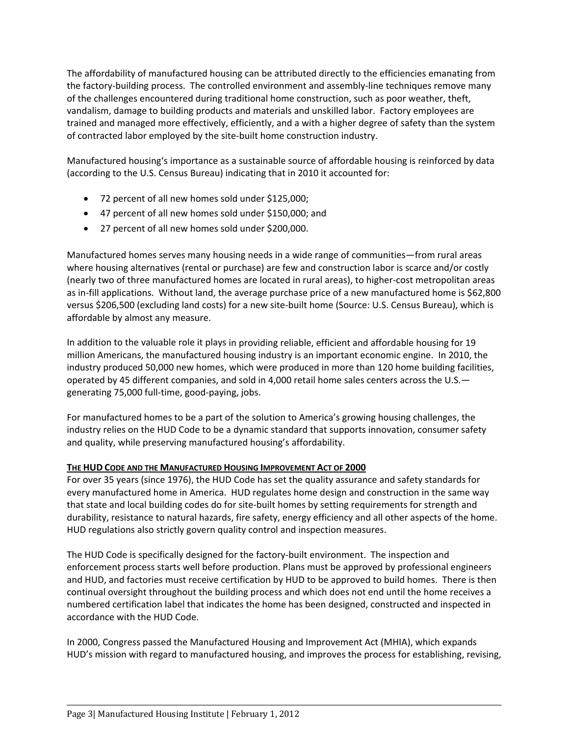The affordability of manufactured housing can be attributed directly to the efficiencies emanating from the factory‐building process. The controlled environment and assembly‐line techniques remove many of the challenges encountered during traditional home construction, such as poor weather, theft, vandalism, damage to building products and materials and unskilled labor. Factory employees are trained and managed more effectively, efficiently, and a with a higher degree of safety than the system of contracted labor employed by the site‐built home construction industry.

Manufactured housing's importance as a sustainable source of affordable housing is reinforced by data (according to the U.S. Census Bureau) indicating that in 2010 it accounted for:

- 72 percent of all new homes sold under \$125,000;
- 47 percent of all new homes sold under \$150,000; and
- 27 percent of all new homes sold under \$200,000.

Manufactured homes serves many housing needs in a wide range of communities—from rural areas where housing alternatives (rental or purchase) are few and construction labor is scarce and/or costly (nearly two of three manufactured homes are located in rural areas), to higher‐cost metropolitan areas as in-fill applications. Without land, the average purchase price of a new manufactured home is \$62,800 versus \$206,500 (excluding land costs) for a new site-built home (Source: U.S. Census Bureau), which is affordable by almost any measure.

In addition to the valuable role it plays in providing reliable, efficient and affordable housing for 19 million Americans, the manufactured housing industry is an important economic engine. In 2010, the industry produced 50,000 new homes, which were produced in more than 120 home building facilities, operated by 45 different companies, and sold in 4,000 retail home sales centers across the U.S. generating 75,000 full-time, good-paying, jobs.

For manufactured homes to be a part of the solution to America's growing housing challenges, the industry relies on the HUD Code to be a dynamic standard that supports innovation, consumer safety and quality, while preserving manufactured housing's affordability.

# **THE HUD CODE AND THE MANUFACTURED HOUSING IMPROVEMENT ACT OF 2000**

For over 35 years (since 1976), the HUD Code has set the quality assurance and safety standards for every manufactured home in America. HUD regulates home design and construction in the same way that state and local building codes do for site‐built homes by setting requirements for strength and durability, resistance to natural hazards, fire safety, energy efficiency and all other aspects of the home. HUD regulations also strictly govern quality control and inspection measures.

The HUD Code is specifically designed for the factory‐built environment. The inspection and enforcement process starts well before production. Plans must be approved by professional engineers and HUD, and factories must receive certification by HUD to be approved to build homes. There is then continual oversight throughout the building process and which does not end until the home receives a numbered certification label that indicates the home has been designed, constructed and inspected in accordance with the HUD Code.

In 2000, Congress passed the Manufactured Housing and Improvement Act (MHIA), which expands HUD's mission with regard to manufactured housing, and improves the process for establishing, revising,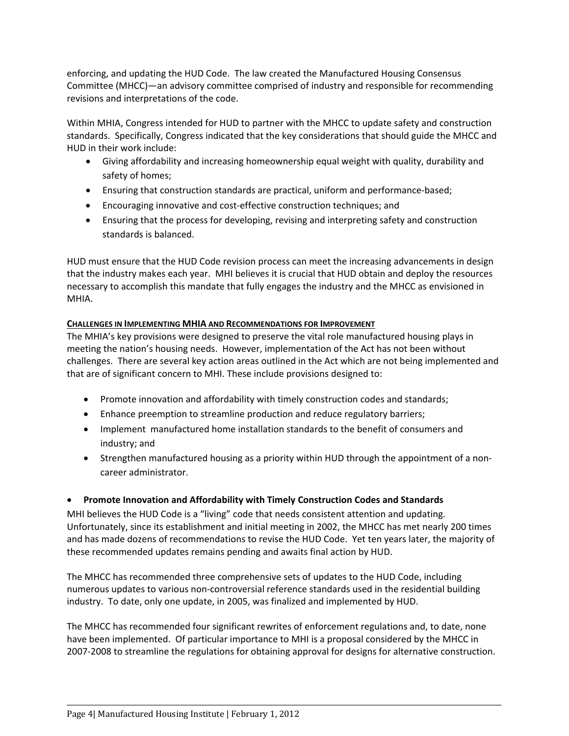enforcing, and updating the HUD Code. The law created the Manufactured Housing Consensus Committee (MHCC)—an advisory committee comprised of industry and responsible for recommending revisions and interpretations of the code.

Within MHIA, Congress intended for HUD to partner with the MHCC to update safety and construction standards. Specifically, Congress indicated that the key considerations that should guide the MHCC and HUD in their work include:

- Giving affordability and increasing homeownership equal weight with quality, durability and safety of homes;
- Ensuring that construction standards are practical, uniform and performance‐based;
- Encouraging innovative and cost‐effective construction techniques; and
- Ensuring that the process for developing, revising and interpreting safety and construction standards is balanced.

HUD must ensure that the HUD Code revision process can meet the increasing advancements in design that the industry makes each year. MHI believes it is crucial that HUD obtain and deploy the resources necessary to accomplish this mandate that fully engages the industry and the MHCC as envisioned in MHIA.

# **CHALLENGES IN IMPLEMENTING MHIA AND RECOMMENDATIONS FOR IMPROVEMENT**

The MHIA's key provisions were designed to preserve the vital role manufactured housing plays in meeting the nation's housing needs. However, implementation of the Act has not been without challenges. There are several key action areas outlined in the Act which are not being implemented and that are of significant concern to MHI. These include provisions designed to:

- Promote innovation and affordability with timely construction codes and standards;
- Enhance preemption to streamline production and reduce regulatory barriers;
- Implement manufactured home installation standards to the benefit of consumers and industry; and
- Strengthen manufactured housing as a priority within HUD through the appointment of a noncareer administrator.

# **Promote Innovation and Affordability with Timely Construction Codes and Standards**

MHI believes the HUD Code is a "living" code that needs consistent attention and updating. Unfortunately, since its establishment and initial meeting in 2002, the MHCC has met nearly 200 times and has made dozens of recommendations to revise the HUD Code. Yet ten years later, the majority of these recommended updates remains pending and awaits final action by HUD.

The MHCC has recommended three comprehensive sets of updates to the HUD Code, including numerous updates to various non‐controversial reference standards used in the residential building industry. To date, only one update, in 2005, was finalized and implemented by HUD.

The MHCC has recommended four significant rewrites of enforcement regulations and, to date, none have been implemented. Of particular importance to MHI is a proposal considered by the MHCC in 2007‐2008 to streamline the regulations for obtaining approval for designs for alternative construction.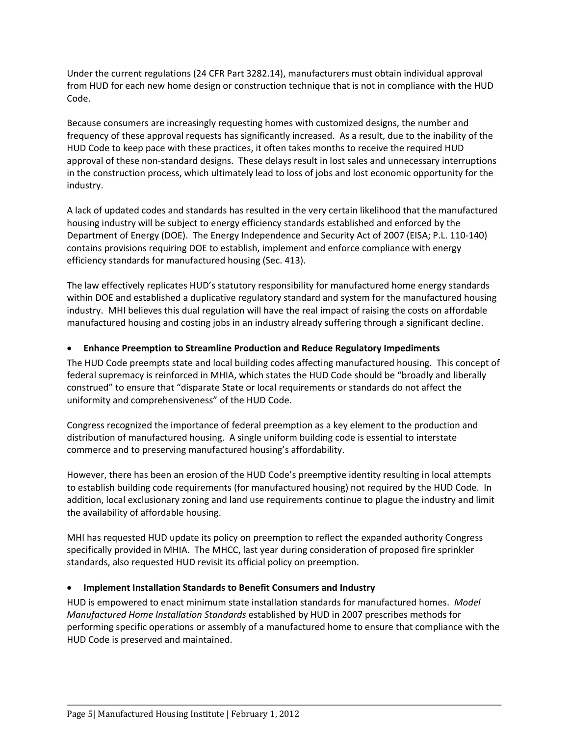Under the current regulations (24 CFR Part 3282.14), manufacturers must obtain individual approval from HUD for each new home design or construction technique that is not in compliance with the HUD Code.

Because consumers are increasingly requesting homes with customized designs, the number and frequency of these approval requests has significantly increased. As a result, due to the inability of the HUD Code to keep pace with these practices, it often takes months to receive the required HUD approval of these non‐standard designs. These delays result in lost sales and unnecessary interruptions in the construction process, which ultimately lead to loss of jobs and lost economic opportunity for the industry.

A lack of updated codes and standards has resulted in the very certain likelihood that the manufactured housing industry will be subject to energy efficiency standards established and enforced by the Department of Energy (DOE). The Energy Independence and Security Act of 2007 (EISA; P.L. 110‐140) contains provisions requiring DOE to establish, implement and enforce compliance with energy efficiency standards for manufactured housing (Sec. 413).

The law effectively replicates HUD's statutory responsibility for manufactured home energy standards within DOE and established a duplicative regulatory standard and system for the manufactured housing industry. MHI believes this dual regulation will have the real impact of raising the costs on affordable manufactured housing and costing jobs in an industry already suffering through a significant decline.

# **Enhance Preemption to Streamline Production and Reduce Regulatory Impediments**

The HUD Code preempts state and local building codes affecting manufactured housing. This concept of federal supremacy is reinforced in MHIA, which states the HUD Code should be "broadly and liberally construed" to ensure that "disparate State or local requirements or standards do not affect the uniformity and comprehensiveness" of the HUD Code.

Congress recognized the importance of federal preemption as a key element to the production and distribution of manufactured housing. A single uniform building code is essential to interstate commerce and to preserving manufactured housing's affordability.

However, there has been an erosion of the HUD Code's preemptive identity resulting in local attempts to establish building code requirements (for manufactured housing) not required by the HUD Code. In addition, local exclusionary zoning and land use requirements continue to plague the industry and limit the availability of affordable housing.

MHI has requested HUD update its policy on preemption to reflect the expanded authority Congress specifically provided in MHIA. The MHCC, last year during consideration of proposed fire sprinkler standards, also requested HUD revisit its official policy on preemption.

#### **Implement Installation Standards to Benefit Consumers and Industry**

HUD is empowered to enact minimum state installation standards for manufactured homes. *Model Manufactured Home Installation Standards* established by HUD in 2007 prescribes methods for performing specific operations or assembly of a manufactured home to ensure that compliance with the HUD Code is preserved and maintained.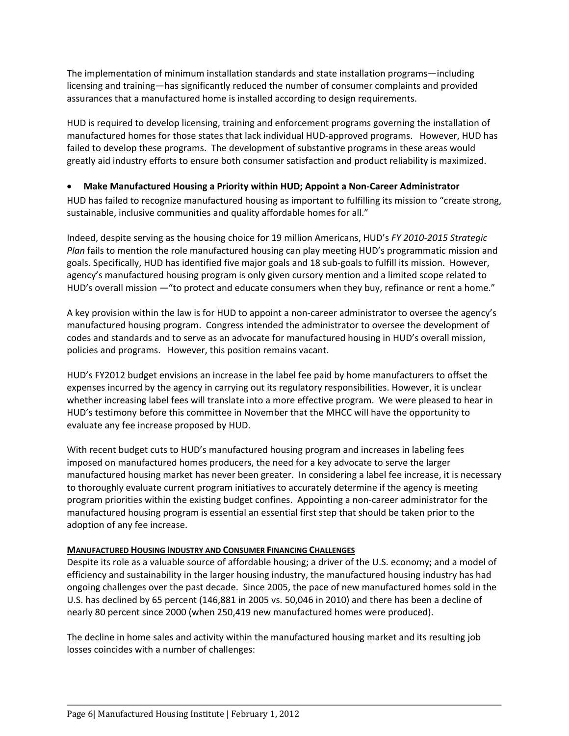The implementation of minimum installation standards and state installation programs—including licensing and training—has significantly reduced the number of consumer complaints and provided assurances that a manufactured home is installed according to design requirements.

HUD is required to develop licensing, training and enforcement programs governing the installation of manufactured homes for those states that lack individual HUD-approved programs. However, HUD has failed to develop these programs. The development of substantive programs in these areas would greatly aid industry efforts to ensure both consumer satisfaction and product reliability is maximized.

# **Make Manufactured Housing a Priority within HUD; Appoint a Non‐Career Administrator**

HUD has failed to recognize manufactured housing as important to fulfilling its mission to "create strong, sustainable, inclusive communities and quality affordable homes for all."

Indeed, despite serving as the housing choice for 19 million Americans, HUD's *FY 2010‐2015 Strategic Plan* fails to mention the role manufactured housing can play meeting HUD's programmatic mission and goals. Specifically, HUD has identified five major goals and 18 sub‐goals to fulfill its mission. However, agency's manufactured housing program is only given cursory mention and a limited scope related to HUD's overall mission —"to protect and educate consumers when they buy, refinance or rent a home."

A key provision within the law is for HUD to appoint a non-career administrator to oversee the agency's manufactured housing program. Congress intended the administrator to oversee the development of codes and standards and to serve as an advocate for manufactured housing in HUD's overall mission, policies and programs. However, this position remains vacant.

HUD's FY2012 budget envisions an increase in the label fee paid by home manufacturers to offset the expenses incurred by the agency in carrying out its regulatory responsibilities. However, it is unclear whether increasing label fees will translate into a more effective program. We were pleased to hear in HUD's testimony before this committee in November that the MHCC will have the opportunity to evaluate any fee increase proposed by HUD.

With recent budget cuts to HUD's manufactured housing program and increases in labeling fees imposed on manufactured homes producers, the need for a key advocate to serve the larger manufactured housing market has never been greater. In considering a label fee increase, it is necessary to thoroughly evaluate current program initiatives to accurately determine if the agency is meeting program priorities within the existing budget confines. Appointing a non‐career administrator for the manufactured housing program is essential an essential first step that should be taken prior to the adoption of any fee increase.

#### **MANUFACTURED HOUSING INDUSTRY AND CONSUMER FINANCING CHALLENGES**

Despite its role as a valuable source of affordable housing; a driver of the U.S. economy; and a model of efficiency and sustainability in the larger housing industry, the manufactured housing industry has had ongoing challenges over the past decade. Since 2005, the pace of new manufactured homes sold in the U.S. has declined by 65 percent (146,881 in 2005 vs. 50,046 in 2010) and there has been a decline of nearly 80 percent since 2000 (when 250,419 new manufactured homes were produced).

The decline in home sales and activity within the manufactured housing market and its resulting job losses coincides with a number of challenges: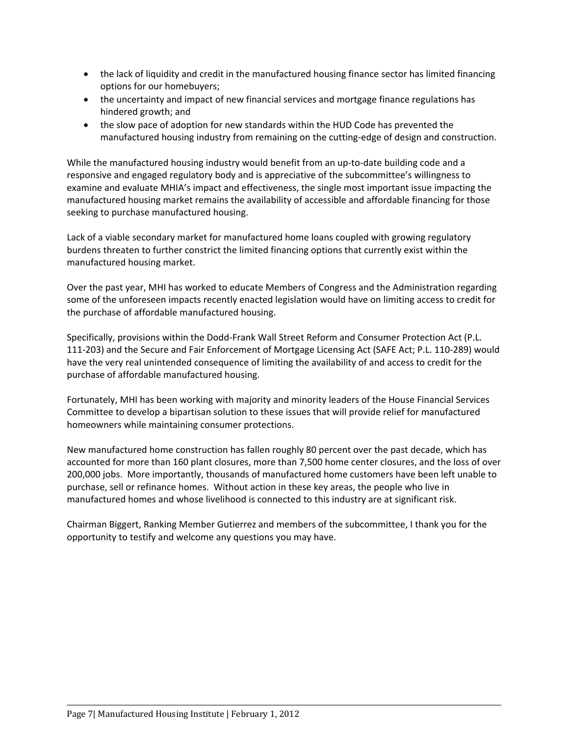- the lack of liquidity and credit in the manufactured housing finance sector has limited financing options for our homebuyers;
- the uncertainty and impact of new financial services and mortgage finance regulations has hindered growth; and
- the slow pace of adoption for new standards within the HUD Code has prevented the manufactured housing industry from remaining on the cutting‐edge of design and construction.

While the manufactured housing industry would benefit from an up-to-date building code and a responsive and engaged regulatory body and is appreciative of the subcommittee's willingness to examine and evaluate MHIA's impact and effectiveness, the single most important issue impacting the manufactured housing market remains the availability of accessible and affordable financing for those seeking to purchase manufactured housing.

Lack of a viable secondary market for manufactured home loans coupled with growing regulatory burdens threaten to further constrict the limited financing options that currently exist within the manufactured housing market.

Over the past year, MHI has worked to educate Members of Congress and the Administration regarding some of the unforeseen impacts recently enacted legislation would have on limiting access to credit for the purchase of affordable manufactured housing.

Specifically, provisions within the Dodd‐Frank Wall Street Reform and Consumer Protection Act (P.L. 111‐203) and the Secure and Fair Enforcement of Mortgage Licensing Act (SAFE Act; P.L. 110‐289) would have the very real unintended consequence of limiting the availability of and access to credit for the purchase of affordable manufactured housing.

Fortunately, MHI has been working with majority and minority leaders of the House Financial Services Committee to develop a bipartisan solution to these issues that will provide relief for manufactured homeowners while maintaining consumer protections.

New manufactured home construction has fallen roughly 80 percent over the past decade, which has accounted for more than 160 plant closures, more than 7,500 home center closures, and the loss of over 200,000 jobs. More importantly, thousands of manufactured home customers have been left unable to purchase, sell or refinance homes. Without action in these key areas, the people who live in manufactured homes and whose livelihood is connected to this industry are at significant risk.

Chairman Biggert, Ranking Member Gutierrez and members of the subcommittee, I thank you for the opportunity to testify and welcome any questions you may have.